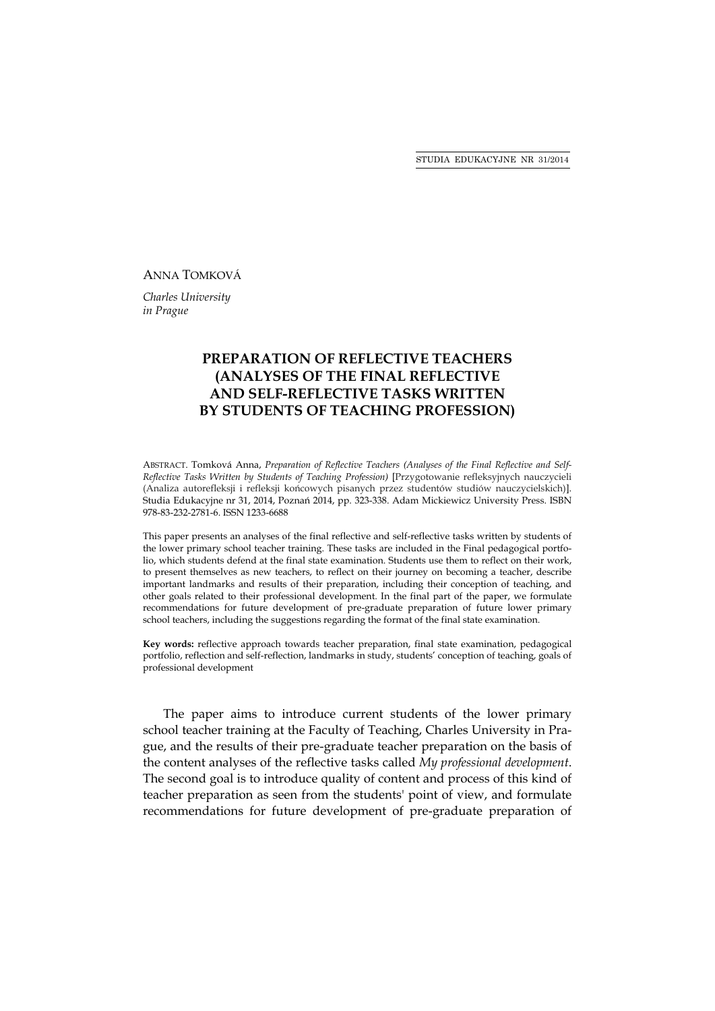STUDIA EDUKACYJNE NR 31/2014

### ANNA TOMKOVÁ

*Charles University in Prague* 

# **PREPARATION OF REFLECTIVE TEACHERS (ANALYSES OF THE FINAL REFLECTIVE AND SELF-REFLECTIVE TASKS WRITTEN BY STUDENTS OF TEACHING PROFESSION)**

ABSTRACT. Tomková Anna, *Preparation of Reflective Teachers (Analyses of the Final Reflective and Self-Reflective Tasks Written by Students of Teaching Profession)* [Przygotowanie refleksyjnych nauczycieli (Analiza autorefleksji i refleksji końcowych pisanych przez studentów studiów nauczycielskich)]. Studia Edukacyjne nr 31, 2014, Poznań 2014, pp. 323-338. Adam Mickiewicz University Press. ISBN 978-83-232-2781-6. ISSN 1233-6688

This paper presents an analyses of the final reflective and self-reflective tasks written by students of the lower primary school teacher training. These tasks are included in the Final pedagogical portfolio, which students defend at the final state examination. Students use them to reflect on their work, to present themselves as new teachers, to reflect on their journey on becoming a teacher, describe important landmarks and results of their preparation, including their conception of teaching, and other goals related to their professional development. In the final part of the paper, we formulate recommendations for future development of pre-graduate preparation of future lower primary school teachers, including the suggestions regarding the format of the final state examination.

**Key words:** reflective approach towards teacher preparation, final state examination, pedagogical portfolio, reflection and self-reflection, landmarks in study, students' conception of teaching, goals of professional development

The paper aims to introduce current students of the lower primary school teacher training at the Faculty of Teaching, Charles University in Prague, and the results of their pre-graduate teacher preparation on the basis of the content analyses of the reflective tasks called *My professional development*. The second goal is to introduce quality of content and process of this kind of teacher preparation as seen from the students' point of view, and formulate recommendations for future development of pre-graduate preparation of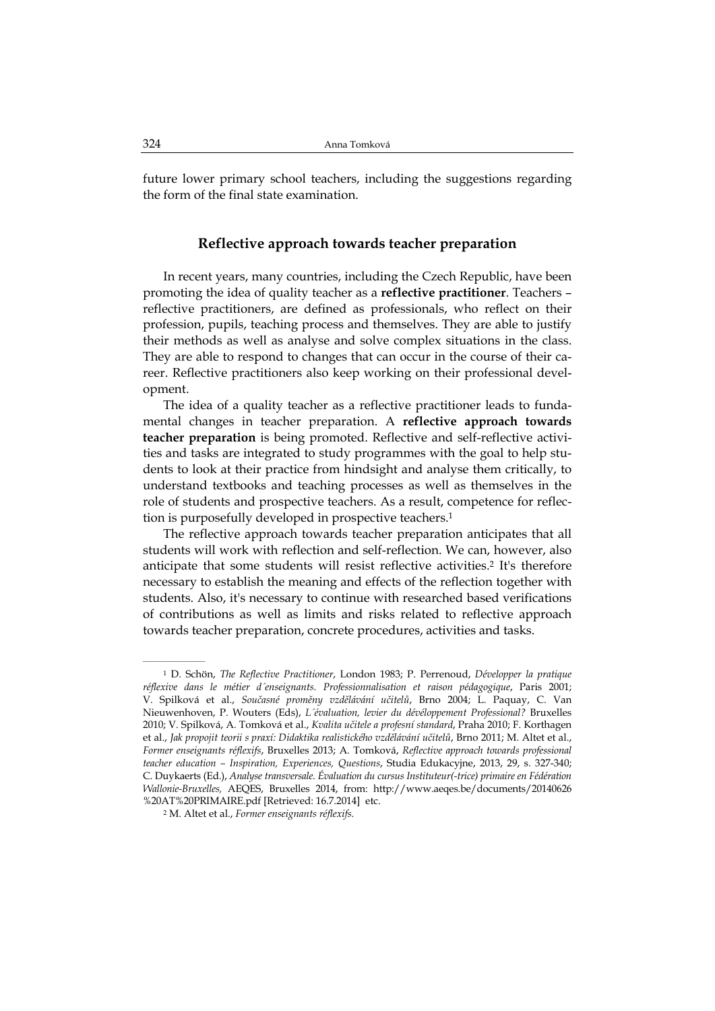future lower primary school teachers, including the suggestions regarding the form of the final state examination.

## **Reflective approach towards teacher preparation**

In recent years, many countries, including the Czech Republic, have been promoting the idea of quality teacher as a **reflective practitioner**. Teachers – reflective practitioners, are defined as professionals, who reflect on their profession, pupils, teaching process and themselves. They are able to justify their methods as well as analyse and solve complex situations in the class. They are able to respond to changes that can occur in the course of their career. Reflective practitioners also keep working on their professional development.

The idea of a quality teacher as a reflective practitioner leads to fundamental changes in teacher preparation. A **reflective approach towards teacher preparation** is being promoted. Reflective and self-reflective activities and tasks are integrated to study programmes with the goal to help students to look at their practice from hindsight and analyse them critically, to understand textbooks and teaching processes as well as themselves in the role of students and prospective teachers. As a result, competence for reflection is purposefully developed in prospective teachers.1

The reflective approach towards teacher preparation anticipates that all students will work with reflection and self-reflection. We can, however, also anticipate that some students will resist reflective activities.2 It's therefore necessary to establish the meaning and effects of the reflection together with students. Also, it's necessary to continue with researched based verifications of contributions as well as limits and risks related to reflective approach towards teacher preparation, concrete procedures, activities and tasks.

 $\mathcal{L}=\mathcal{L}=\mathcal{L}=\mathcal{L}=\mathcal{L}=\mathcal{L}$ 

<sup>1</sup> D. Schön, *The Reflective Practitioner*, London 1983; P. Perrenoud, *Développer la pratique réflexive dans le métier d´enseignants. Professionnalisation et raison pédagogique*, Paris 2001; V. Spilková et al., *Současné proměny vzdělávání učitelů*, Brno 2004; L. Paquay, C. Van Nieuwenhoven, P. Wouters (Eds), *L´évaluation, levier du dévéloppement Professional?* Bruxelles 2010; V. Spilková, A. Tomková et al., *Kvalita učitele a profesní standard*, Praha 2010; F. Korthagen et al., *Jak propojit teorii s praxí: Didaktika realistického vzdělávání učitelů*, Brno 2011; M. Altet et al., *Former enseignants réflexifs*, Bruxelles 2013; A. Tomková, *Reflective approach towards professional teacher education – Inspiration, Experiences, Questions*, Studia Edukacyjne, 2013, 29, s. 327-340; C. Duykaerts (Ed.), *Analyse transversale. Évaluation du cursus Instituteur(-trice) primaire en Fédération Wallonie-Bruxelles,* AEQES, Bruxelles 2014, from: http://www.aeqes.be/documents/20140626 %20AT%20PRIMAIRE.pdf [Retrieved: 16.7.2014] etc.

<sup>2</sup> M. Altet et al., *Former enseignants réflexifs*.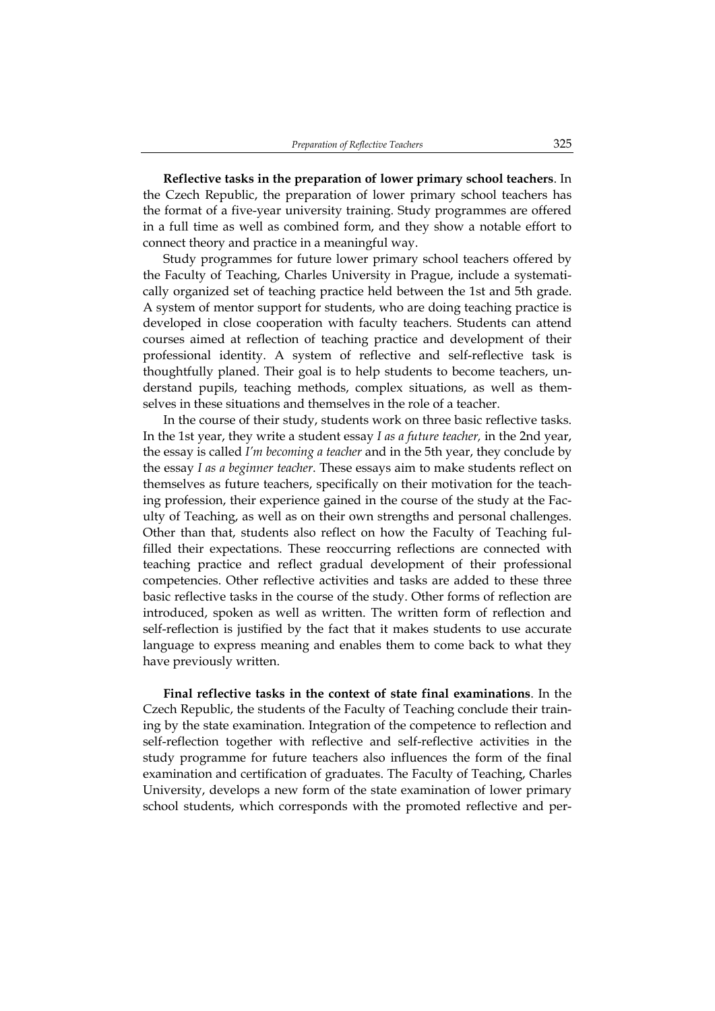**Reflective tasks in the preparation of lower primary school teachers**. In the Czech Republic, the preparation of lower primary school teachers has the format of a five-year university training. Study programmes are offered in a full time as well as combined form, and they show a notable effort to connect theory and practice in a meaningful way.

Study programmes for future lower primary school teachers offered by the Faculty of Teaching, Charles University in Prague, include a systematically organized set of teaching practice held between the 1st and 5th grade. A system of mentor support for students, who are doing teaching practice is developed in close cooperation with faculty teachers. Students can attend courses aimed at reflection of teaching practice and development of their professional identity. A system of reflective and self-reflective task is thoughtfully planed. Their goal is to help students to become teachers, understand pupils, teaching methods, complex situations, as well as themselves in these situations and themselves in the role of a teacher.

In the course of their study, students work on three basic reflective tasks. In the 1st year, they write a student essay *I as a future teacher,* in the 2nd year, the essay is called *I'm becoming a teacher* and in the 5th year, they conclude by the essay *I as a beginner teacher*. These essays aim to make students reflect on themselves as future teachers, specifically on their motivation for the teaching profession, their experience gained in the course of the study at the Faculty of Teaching, as well as on their own strengths and personal challenges. Other than that, students also reflect on how the Faculty of Teaching fulfilled their expectations. These reoccurring reflections are connected with teaching practice and reflect gradual development of their professional competencies. Other reflective activities and tasks are added to these three basic reflective tasks in the course of the study. Other forms of reflection are introduced, spoken as well as written. The written form of reflection and self-reflection is justified by the fact that it makes students to use accurate language to express meaning and enables them to come back to what they have previously written.

**Final reflective tasks in the context of state final examinations**. In the Czech Republic, the students of the Faculty of Teaching conclude their training by the state examination. Integration of the competence to reflection and self-reflection together with reflective and self-reflective activities in the study programme for future teachers also influences the form of the final examination and certification of graduates. The Faculty of Teaching, Charles University, develops a new form of the state examination of lower primary school students, which corresponds with the promoted reflective and per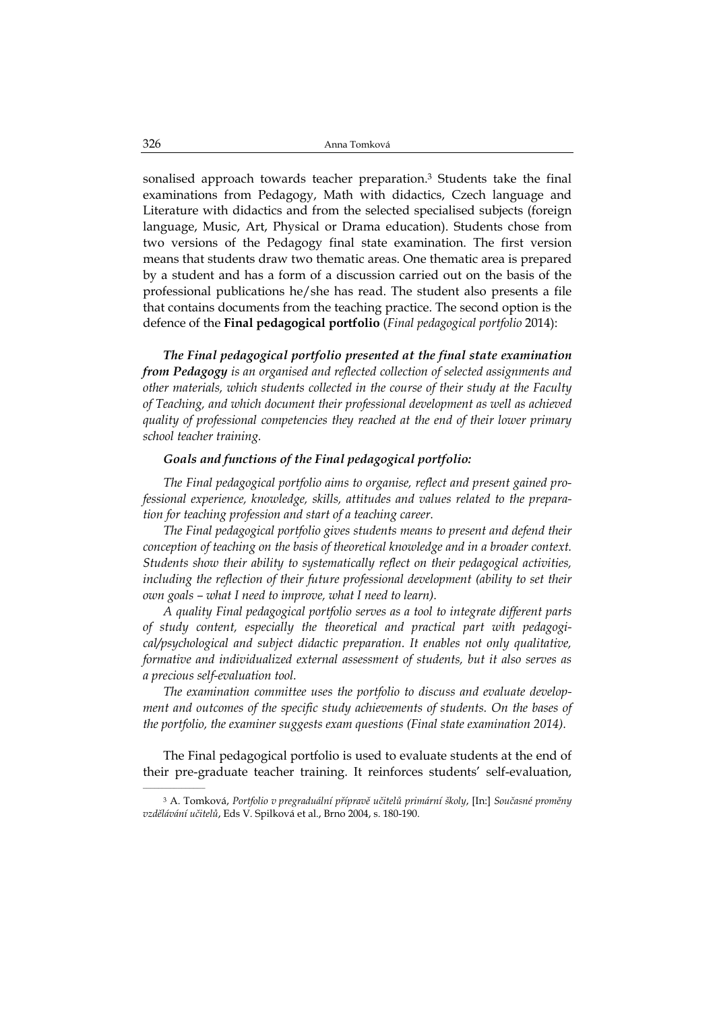sonalised approach towards teacher preparation.3 Students take the final examinations from Pedagogy, Math with didactics, Czech language and Literature with didactics and from the selected specialised subjects (foreign language, Music, Art, Physical or Drama education). Students chose from two versions of the Pedagogy final state examination. The first version means that students draw two thematic areas. One thematic area is prepared by a student and has a form of a discussion carried out on the basis of the professional publications he/she has read. The student also presents a file that contains documents from the teaching practice. The second option is the defence of the **Final pedagogical portfolio** (*Final pedagogical portfolio* 2014):

*The Final pedagogical portfolio presented at the final state examination from Pedagogy is an organised and reflected collection of selected assignments and other materials, which students collected in the course of their study at the Faculty of Teaching, and which document their professional development as well as achieved quality of professional competencies they reached at the end of their lower primary school teacher training.* 

#### *Goals and functions of the Final pedagogical portfolio:*

*The Final pedagogical portfolio aims to organise, reflect and present gained professional experience, knowledge, skills, attitudes and values related to the preparation for teaching profession and start of a teaching career.* 

*The Final pedagogical portfolio gives students means to present and defend their conception of teaching on the basis of theoretical knowledge and in a broader context. Students show their ability to systematically reflect on their pedagogical activities, including the reflection of their future professional development (ability to set their own goals – what I need to improve, what I need to learn).* 

*A quality Final pedagogical portfolio serves as a tool to integrate different parts of study content, especially the theoretical and practical part with pedagogical/psychological and subject didactic preparation. It enables not only qualitative, formative and individualized external assessment of students, but it also serves as a precious self-evaluation tool.* 

*The examination committee uses the portfolio to discuss and evaluate development and outcomes of the specific study achievements of students. On the bases of the portfolio, the examiner suggests exam questions (Final state examination 2014).*

The Final pedagogical portfolio is used to evaluate students at the end of their pre-graduate teacher training. It reinforces students' self-evaluation,

<sup>3</sup> A. Tomková, *Portfolio v pregraduální přípravě učitelů primární školy*, [In:] *Současné proměny vzdělávání učitelů*, Eds V. Spilková et al., Brno 2004, s. 180-190.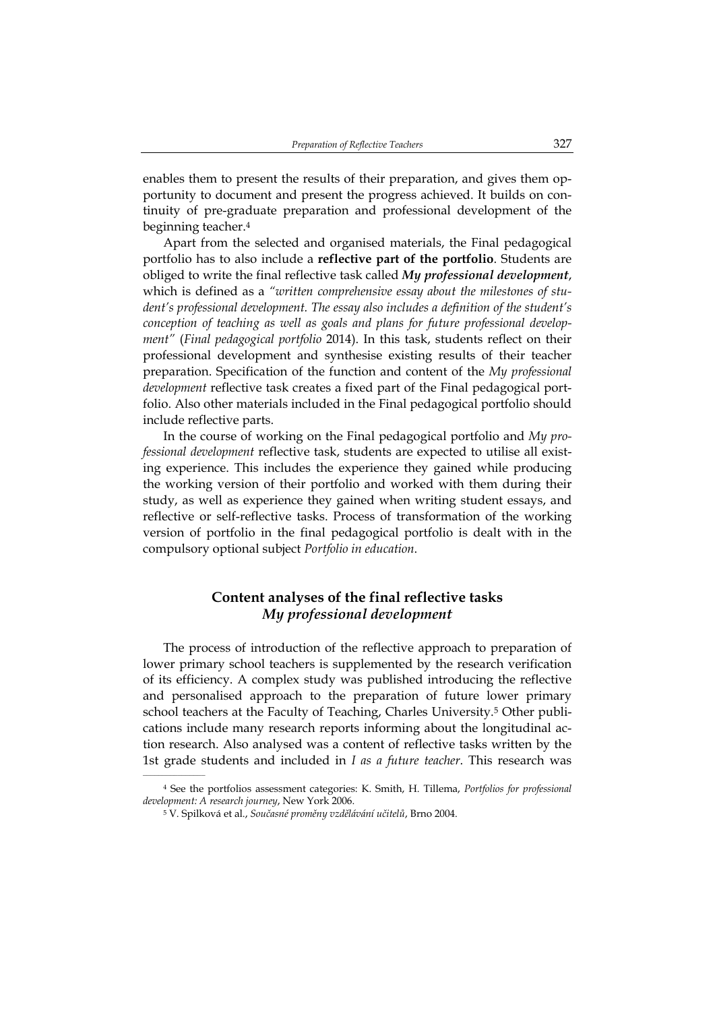enables them to present the results of their preparation, and gives them opportunity to document and present the progress achieved. It builds on continuity of pre-graduate preparation and professional development of the beginning teacher.4

Apart from the selected and organised materials, the Final pedagogical portfolio has to also include a **reflective part of the portfolio**. Students are obliged to write the final reflective task called *My professional development*, which is defined as a *"written comprehensive essay about the milestones of student's professional development. The essay also includes a definition of the student's conception of teaching as well as goals and plans for future professional development"* (*Final pedagogical portfolio* 2014). In this task, students reflect on their professional development and synthesise existing results of their teacher preparation. Specification of the function and content of the *My professional development* reflective task creates a fixed part of the Final pedagogical portfolio. Also other materials included in the Final pedagogical portfolio should include reflective parts.

In the course of working on the Final pedagogical portfolio and *My professional development* reflective task, students are expected to utilise all existing experience. This includes the experience they gained while producing the working version of their portfolio and worked with them during their study, as well as experience they gained when writing student essays, and reflective or self-reflective tasks. Process of transformation of the working version of portfolio in the final pedagogical portfolio is dealt with in the compulsory optional subject *Portfolio in education*.

## **Content analyses of the final reflective tasks**  *My professional development*

The process of introduction of the reflective approach to preparation of lower primary school teachers is supplemented by the research verification of its efficiency. A complex study was published introducing the reflective and personalised approach to the preparation of future lower primary school teachers at the Faculty of Teaching, Charles University.5 Other publications include many research reports informing about the longitudinal action research. Also analysed was a content of reflective tasks written by the 1st grade students and included in *I as a future teacher*. This research was

<sup>4</sup> See the portfolios assessment categories: K. Smith, H. Tillema, *Portfolios for professional development: A research journey*, New York 2006.

<sup>5</sup> V. Spilková et al., *Současné proměny vzdělávání učitelů*, Brno 2004.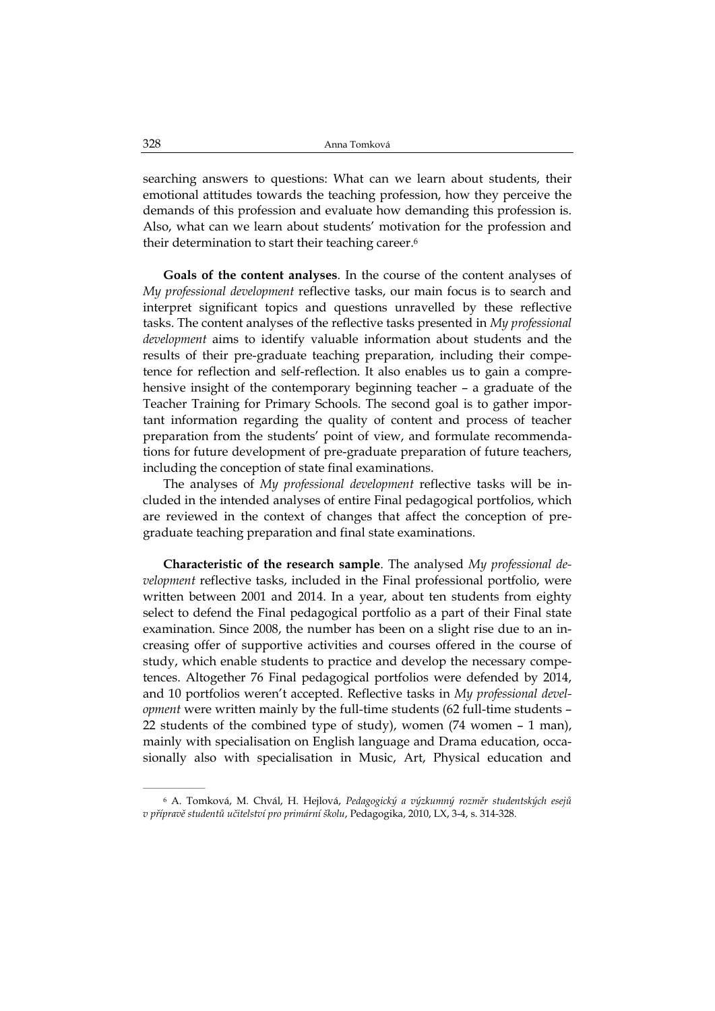searching answers to questions: What can we learn about students, their emotional attitudes towards the teaching profession, how they perceive the demands of this profession and evaluate how demanding this profession is. Also, what can we learn about students' motivation for the profession and their determination to start their teaching career.6

**Goals of the content analyses**. In the course of the content analyses of *My professional development* reflective tasks, our main focus is to search and interpret significant topics and questions unravelled by these reflective tasks. The content analyses of the reflective tasks presented in *My professional development* aims to identify valuable information about students and the results of their pre-graduate teaching preparation, including their competence for reflection and self-reflection. It also enables us to gain a comprehensive insight of the contemporary beginning teacher – a graduate of the Teacher Training for Primary Schools. The second goal is to gather important information regarding the quality of content and process of teacher preparation from the students' point of view, and formulate recommendations for future development of pre-graduate preparation of future teachers, including the conception of state final examinations.

The analyses of *My professional development* reflective tasks will be included in the intended analyses of entire Final pedagogical portfolios, which are reviewed in the context of changes that affect the conception of pregraduate teaching preparation and final state examinations.

**Characteristic of the research sample**. The analysed *My professional development* reflective tasks, included in the Final professional portfolio, were written between 2001 and 2014. In a year, about ten students from eighty select to defend the Final pedagogical portfolio as a part of their Final state examination. Since 2008, the number has been on a slight rise due to an increasing offer of supportive activities and courses offered in the course of study, which enable students to practice and develop the necessary competences. Altogether 76 Final pedagogical portfolios were defended by 2014, and 10 portfolios weren't accepted. Reflective tasks in *My professional development* were written mainly by the full-time students (62 full-time students – 22 students of the combined type of study), women (74 women – 1 man), mainly with specialisation on English language and Drama education, occasionally also with specialisation in Music, Art, Physical education and

<sup>6</sup> A. Tomková, M. Chvál, H. Hejlová, *Pedagogický a výzkumný rozměr studentských esejů v přípravě studentů učitelství pro primární školu*, Pedagogika, 2010, LX, 3-4, s. 314-328.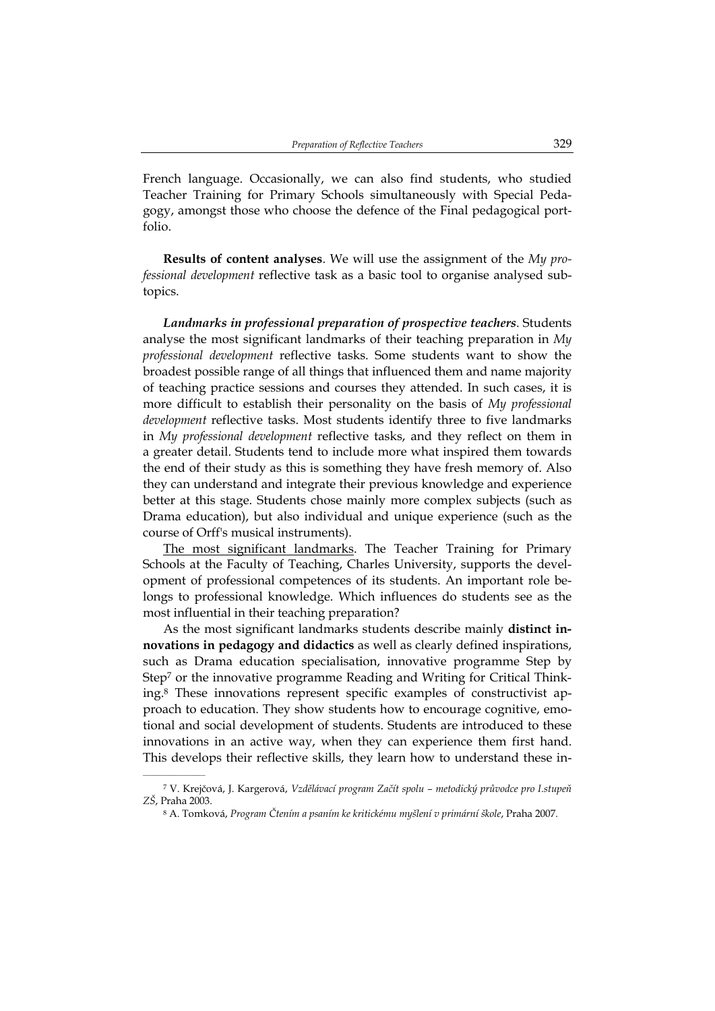French language. Occasionally, we can also find students, who studied Teacher Training for Primary Schools simultaneously with Special Pedagogy, amongst those who choose the defence of the Final pedagogical portfolio.

**Results of content analyses**. We will use the assignment of the *My professional development* reflective task as a basic tool to organise analysed subtopics.

*Landmarks in professional preparation of prospective teachers*. Students analyse the most significant landmarks of their teaching preparation in *My professional development* reflective tasks. Some students want to show the broadest possible range of all things that influenced them and name majority of teaching practice sessions and courses they attended. In such cases, it is more difficult to establish their personality on the basis of *My professional development* reflective tasks. Most students identify three to five landmarks in *My professional development* reflective tasks, and they reflect on them in a greater detail. Students tend to include more what inspired them towards the end of their study as this is something they have fresh memory of. Also they can understand and integrate their previous knowledge and experience better at this stage. Students chose mainly more complex subjects (such as Drama education), but also individual and unique experience (such as the course of Orff's musical instruments).

The most significant landmarks. The Teacher Training for Primary Schools at the Faculty of Teaching, Charles University, supports the development of professional competences of its students. An important role belongs to professional knowledge. Which influences do students see as the most influential in their teaching preparation?

As the most significant landmarks students describe mainly **distinct innovations in pedagogy and didactics** as well as clearly defined inspirations, such as Drama education specialisation, innovative programme Step by Step7 or the innovative programme Reading and Writing for Critical Thinking.8 These innovations represent specific examples of constructivist approach to education. They show students how to encourage cognitive, emotional and social development of students. Students are introduced to these innovations in an active way, when they can experience them first hand. This develops their reflective skills, they learn how to understand these in-

<sup>7</sup> V. Krejčová, J. Kargerová, *Vzdělávací program Začít spolu – metodický průvodce pro I.stupeň ZŠ*, Praha 2003.

<sup>8</sup> A. Tomková, *Program Čtením a psaním ke kritickému myšlení v primární škole*, Praha 2007.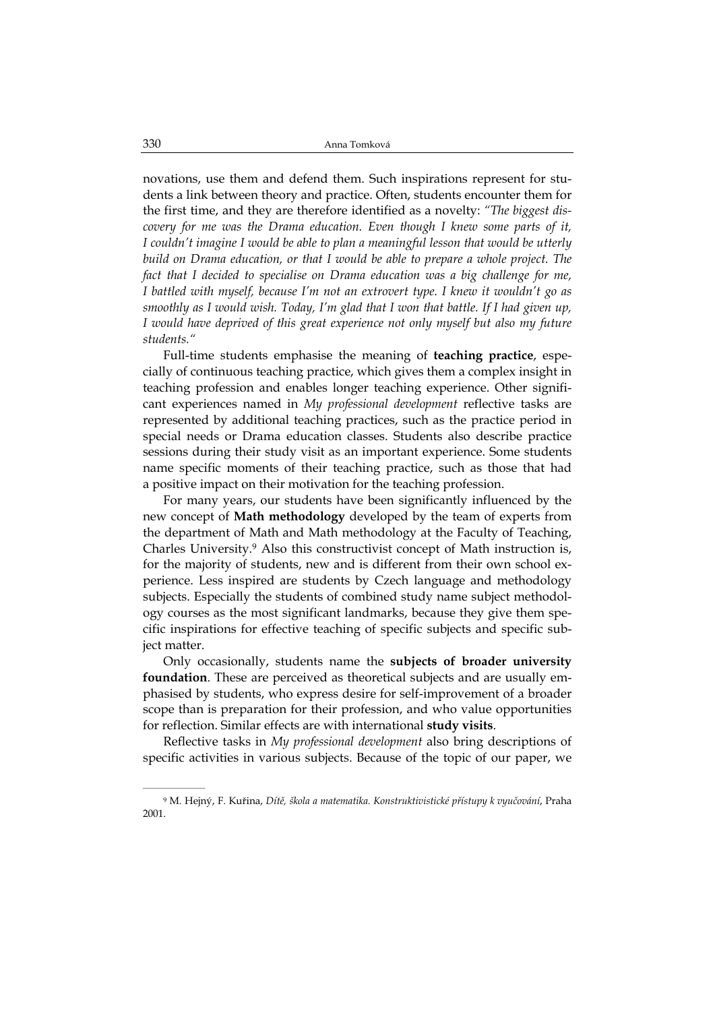novations, use them and defend them. Such inspirations represent for students a link between theory and practice. Often, students encounter them for the first time, and they are therefore identified as a novelty: *"The biggest discovery for me was the Drama education. Even though I knew some parts of it, I couldn't imagine I would be able to plan a meaningful lesson that would be utterly build on Drama education, or that I would be able to prepare a whole project. The fact that I decided to specialise on Drama education was a big challenge for me, I battled with myself, because I'm not an extrovert type. I knew it wouldn't go as smoothly as I would wish. Today, I'm glad that I won that battle. If I had given up, I would have deprived of this great experience not only myself but also my future students."*

Full-time students emphasise the meaning of **teaching practice**, especially of continuous teaching practice, which gives them a complex insight in teaching profession and enables longer teaching experience. Other significant experiences named in *My professional development* reflective tasks are represented by additional teaching practices, such as the practice period in special needs or Drama education classes. Students also describe practice sessions during their study visit as an important experience. Some students name specific moments of their teaching practice, such as those that had a positive impact on their motivation for the teaching profession.

For many years, our students have been significantly influenced by the new concept of **Math methodology** developed by the team of experts from the department of Math and Math methodology at the Faculty of Teaching, Charles University.9 Also this constructivist concept of Math instruction is, for the majority of students, new and is different from their own school experience. Less inspired are students by Czech language and methodology subjects. Especially the students of combined study name subject methodology courses as the most significant landmarks, because they give them specific inspirations for effective teaching of specific subjects and specific subject matter.

Only occasionally, students name the **subjects of broader university foundation**. These are perceived as theoretical subjects and are usually emphasised by students, who express desire for self-improvement of a broader scope than is preparation for their profession, and who value opportunities for reflection. Similar effects are with international **study visits**.

Reflective tasks in *My professional development* also bring descriptions of specific activities in various subjects. Because of the topic of our paper, we

<sup>9</sup> M. Hejný, F. Kuřina, *Dítě, škola a matematika. Konstruktivistické přístupy k vyučování*, Praha 2001.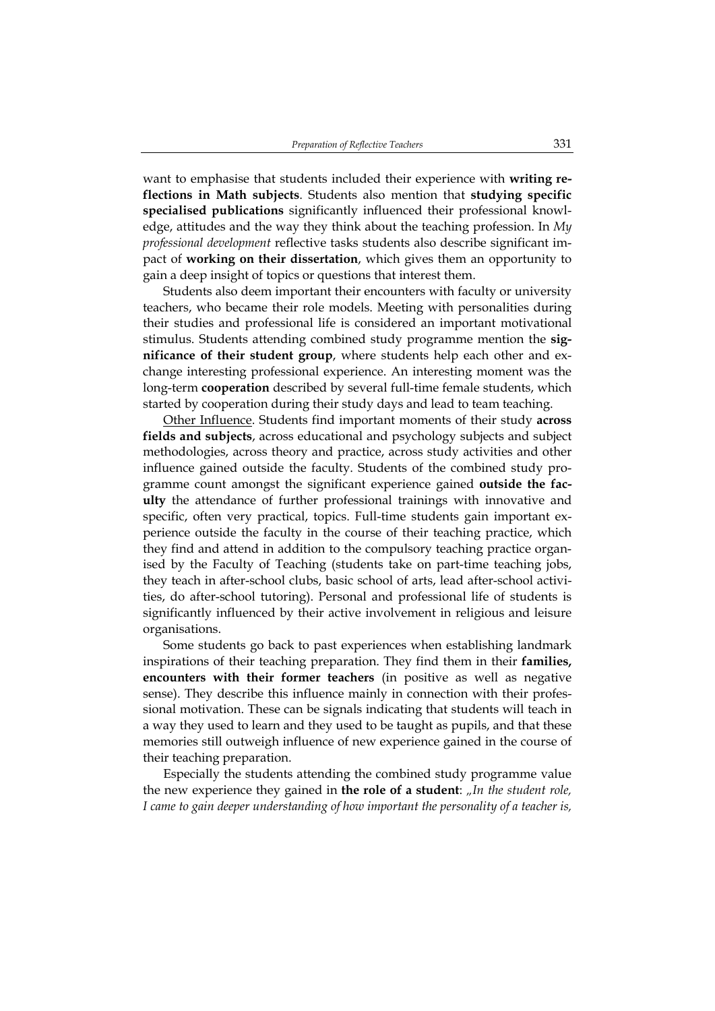want to emphasise that students included their experience with **writing reflections in Math subjects**. Students also mention that **studying specific specialised publications** significantly influenced their professional knowledge, attitudes and the way they think about the teaching profession. In *My professional development* reflective tasks students also describe significant impact of **working on their dissertation**, which gives them an opportunity to gain a deep insight of topics or questions that interest them.

Students also deem important their encounters with faculty or university teachers, who became their role models. Meeting with personalities during their studies and professional life is considered an important motivational stimulus. Students attending combined study programme mention the **significance of their student group**, where students help each other and exchange interesting professional experience. An interesting moment was the long-term **cooperation** described by several full-time female students, which started by cooperation during their study days and lead to team teaching.

Other Influence. Students find important moments of their study **across fields and subjects**, across educational and psychology subjects and subject methodologies, across theory and practice, across study activities and other influence gained outside the faculty. Students of the combined study programme count amongst the significant experience gained **outside the faculty** the attendance of further professional trainings with innovative and specific, often very practical, topics. Full-time students gain important experience outside the faculty in the course of their teaching practice, which they find and attend in addition to the compulsory teaching practice organised by the Faculty of Teaching (students take on part-time teaching jobs, they teach in after-school clubs, basic school of arts, lead after-school activities, do after-school tutoring). Personal and professional life of students is significantly influenced by their active involvement in religious and leisure organisations.

Some students go back to past experiences when establishing landmark inspirations of their teaching preparation. They find them in their **families, encounters with their former teachers** (in positive as well as negative sense). They describe this influence mainly in connection with their professional motivation. These can be signals indicating that students will teach in a way they used to learn and they used to be taught as pupils, and that these memories still outweigh influence of new experience gained in the course of their teaching preparation.

Especially the students attending the combined study programme value the new experience they gained in **the role of a student**: *"In the student role, I came to gain deeper understanding of how important the personality of a teacher is,*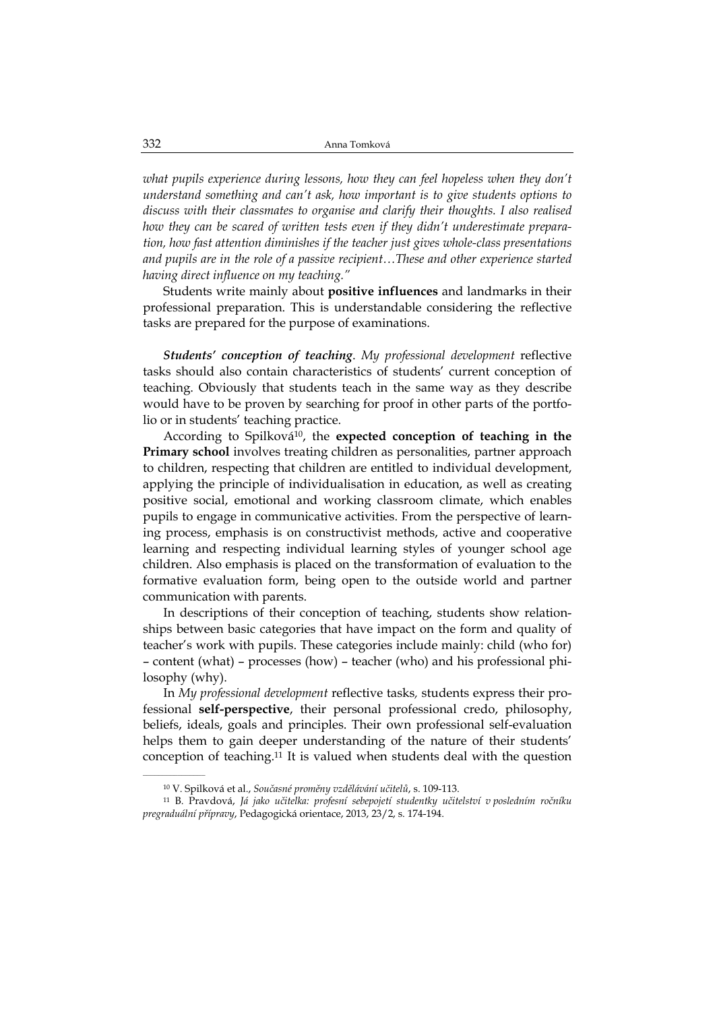what pupils experience during lessons, how they can feel hopeless when they don't *understand something and can't ask, how important is to give students options to discuss with their classmates to organise and clarify their thoughts. I also realised how they can be scared of written tests even if they didn't underestimate preparation, how fast attention diminishes if the teacher just gives whole-class presentations and pupils are in the role of a passive recipient…These and other experience started having direct influence on my teaching."* 

Students write mainly about **positive influences** and landmarks in their professional preparation. This is understandable considering the reflective tasks are prepared for the purpose of examinations.

*Students' conception of teaching*. *My professional development* reflective tasks should also contain characteristics of students' current conception of teaching. Obviously that students teach in the same way as they describe would have to be proven by searching for proof in other parts of the portfolio or in students' teaching practice.

According to Spilková10, the **expected conception of teaching in the Primary school** involves treating children as personalities, partner approach to children, respecting that children are entitled to individual development, applying the principle of individualisation in education, as well as creating positive social, emotional and working classroom climate, which enables pupils to engage in communicative activities. From the perspective of learning process, emphasis is on constructivist methods, active and cooperative learning and respecting individual learning styles of younger school age children. Also emphasis is placed on the transformation of evaluation to the formative evaluation form, being open to the outside world and partner communication with parents.

In descriptions of their conception of teaching, students show relationships between basic categories that have impact on the form and quality of teacher's work with pupils. These categories include mainly: child (who for) – content (what) – processes (how) – teacher (who) and his professional philosophy (why).

In *My professional development* reflective tasks*,* students express their professional **self-perspective**, their personal professional credo, philosophy, beliefs, ideals, goals and principles. Their own professional self-evaluation helps them to gain deeper understanding of the nature of their students' conception of teaching.11 It is valued when students deal with the question

<sup>10</sup> V. Spilková et al., *Současné proměny vzdělávání učitelů*, s. 109-113.

<sup>11</sup> B. Pravdová, *Já jako učitelka: profesní sebepojetí studentky učitelství v posledním ročníku pregraduální přípravy*, Pedagogická orientace, 2013, 23/2, s. 174-194.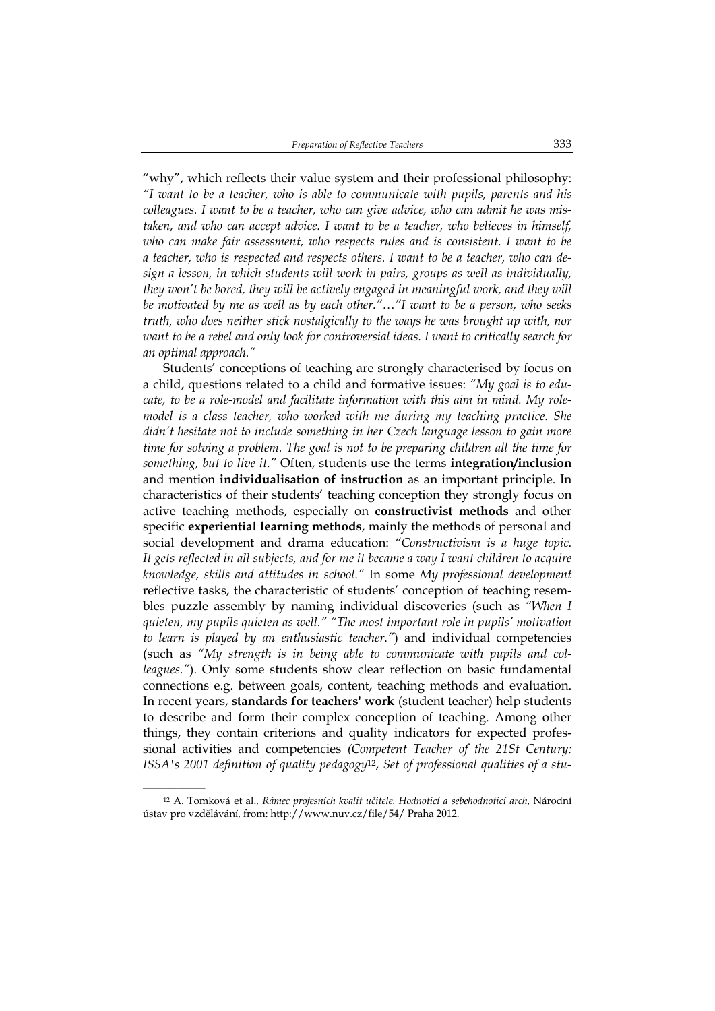"why", which reflects their value system and their professional philosophy: *"I want to be a teacher, who is able to communicate with pupils, parents and his colleagues. I want to be a teacher, who can give advice, who can admit he was mistaken, and who can accept advice. I want to be a teacher, who believes in himself, who can make fair assessment, who respects rules and is consistent. I want to be a teacher, who is respected and respects others. I want to be a teacher, who can design a lesson, in which students will work in pairs, groups as well as individually, they won't be bored, they will be actively engaged in meaningful work, and they will be motivated by me as well as by each other."…"I want to be a person, who seeks truth, who does neither stick nostalgically to the ways he was brought up with, nor want to be a rebel and only look for controversial ideas. I want to critically search for an optimal approach."* 

Students' conceptions of teaching are strongly characterised by focus on a child, questions related to a child and formative issues: *"My goal is to educate, to be a role-model and facilitate information with this aim in mind. My rolemodel is a class teacher, who worked with me during my teaching practice. She didn't hesitate not to include something in her Czech language lesson to gain more time for solving a problem. The goal is not to be preparing children all the time for something, but to live it."* Often, students use the terms **integration/inclusion** and mention **individualisation of instruction** as an important principle. In characteristics of their students' teaching conception they strongly focus on active teaching methods, especially on **constructivist methods** and other specific **experiential learning methods**, mainly the methods of personal and social development and drama education: *"Constructivism is a huge topic. It gets reflected in all subjects, and for me it became a way I want children to acquire knowledge, skills and attitudes in school."* In some *My professional development* reflective tasks, the characteristic of students' conception of teaching resembles puzzle assembly by naming individual discoveries (such as *"When I quieten, my pupils quieten as well." "The most important role in pupils' motivation to learn is played by an enthusiastic teacher."*) and individual competencies (such as *"My strength is in being able to communicate with pupils and colleagues."*). Only some students show clear reflection on basic fundamental connections e.g. between goals, content, teaching methods and evaluation. In recent years, **standards for teachers' work** (student teacher) help students to describe and form their complex conception of teaching. Among other things, they contain criterions and quality indicators for expected professional activities and competencies *(Competent Teacher of the 21St Century: ISSA's 2001 definition of quality pedagogy*12, *Set of professional qualities of a stu-*

<sup>12</sup> A. Tomková et al., *Rámec profesních kvalit učitele. Hodnoticí a sebehodnoticí arch*, Národní ústav pro vzdělávání, from: http://www.nuv.cz/file/54/ Praha 2012.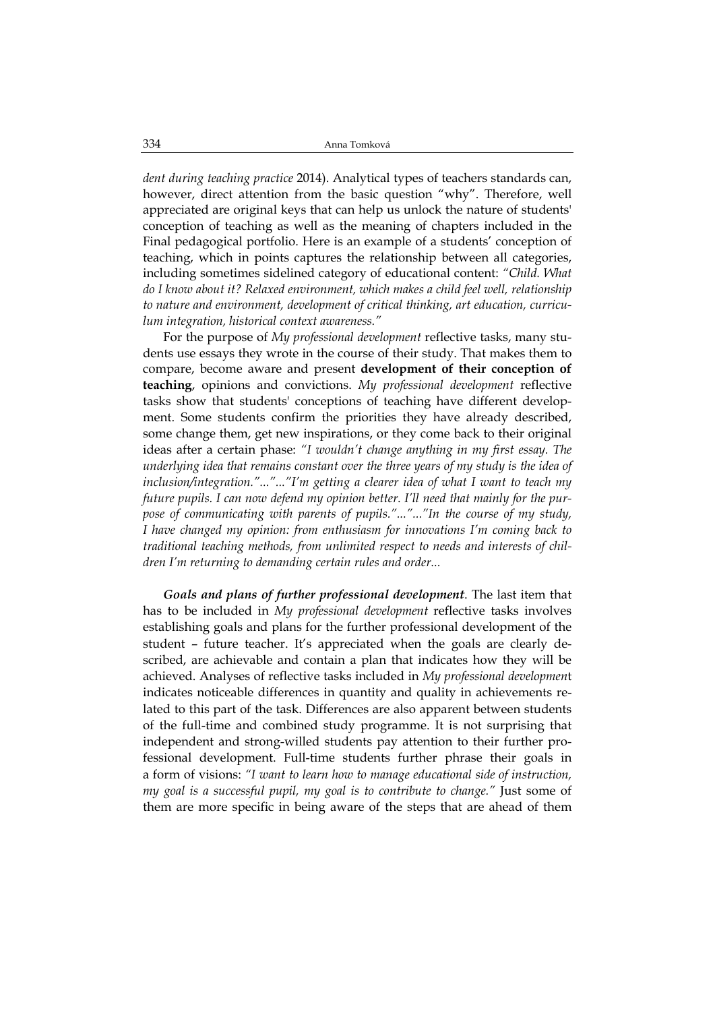*dent during teaching practice* 2014). Analytical types of teachers standards can, however, direct attention from the basic question "why". Therefore, well appreciated are original keys that can help us unlock the nature of students' conception of teaching as well as the meaning of chapters included in the Final pedagogical portfolio. Here is an example of a students' conception of teaching, which in points captures the relationship between all categories, including sometimes sidelined category of educational content: *"Child. What do I know about it? Relaxed environment, which makes a child feel well, relationship to nature and environment, development of critical thinking, art education, curriculum integration, historical context awareness."*

For the purpose of *My professional development* reflective tasks, many students use essays they wrote in the course of their study. That makes them to compare, become aware and present **development of their conception of teaching**, opinions and convictions. *My professional development* reflective tasks show that students' conceptions of teaching have different development. Some students confirm the priorities they have already described, some change them, get new inspirations, or they come back to their original ideas after a certain phase: *"I wouldn't change anything in my first essay. The underlying idea that remains constant over the three years of my study is the idea of inclusion/integration."..."..."I'm getting a clearer idea of what I want to teach my future pupils. I can now defend my opinion better. I'll need that mainly for the purpose of communicating with parents of pupils."..."..."In the course of my study, I have changed my opinion: from enthusiasm for innovations I'm coming back to traditional teaching methods, from unlimited respect to needs and interests of children I'm returning to demanding certain rules and order...* 

*Goals and plans of further professional development*. The last item that has to be included in *My professional development* reflective tasks involves establishing goals and plans for the further professional development of the student – future teacher. It's appreciated when the goals are clearly described, are achievable and contain a plan that indicates how they will be achieved. Analyses of reflective tasks included in *My professional developmen*t indicates noticeable differences in quantity and quality in achievements related to this part of the task. Differences are also apparent between students of the full-time and combined study programme. It is not surprising that independent and strong-willed students pay attention to their further professional development. Full-time students further phrase their goals in a form of visions: *"I want to learn how to manage educational side of instruction, my goal is a successful pupil, my goal is to contribute to change."* Just some of them are more specific in being aware of the steps that are ahead of them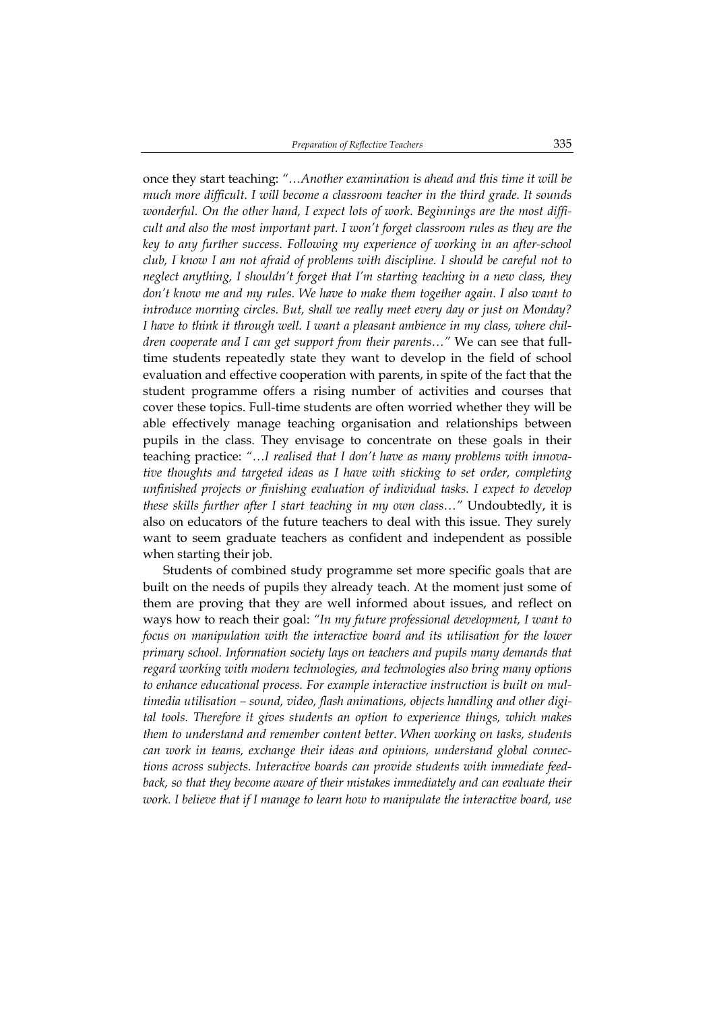once they start teaching: *"…Another examination is ahead and this time it will be much more difficult. I will become a classroom teacher in the third grade. It sounds wonderful. On the other hand, I expect lots of work. Beginnings are the most difficult and also the most important part. I won't forget classroom rules as they are the key to any further success. Following my experience of working in an after-school club, I know I am not afraid of problems with discipline. I should be careful not to neglect anything, I shouldn't forget that I'm starting teaching in a new class, they don't know me and my rules. We have to make them together again. I also want to introduce morning circles. But, shall we really meet every day or just on Monday? I have to think it through well. I want a pleasant ambience in my class, where children cooperate and I can get support from their parents…"* We can see that fulltime students repeatedly state they want to develop in the field of school evaluation and effective cooperation with parents, in spite of the fact that the student programme offers a rising number of activities and courses that cover these topics. Full-time students are often worried whether they will be able effectively manage teaching organisation and relationships between pupils in the class. They envisage to concentrate on these goals in their teaching practice: *"…I realised that I don't have as many problems with innovative thoughts and targeted ideas as I have with sticking to set order, completing unfinished projects or finishing evaluation of individual tasks. I expect to develop these skills further after I start teaching in my own class…"* Undoubtedly, it is also on educators of the future teachers to deal with this issue. They surely want to seem graduate teachers as confident and independent as possible when starting their job.

Students of combined study programme set more specific goals that are built on the needs of pupils they already teach. At the moment just some of them are proving that they are well informed about issues, and reflect on ways how to reach their goal: *"In my future professional development, I want to focus on manipulation with the interactive board and its utilisation for the lower primary school. Information society lays on teachers and pupils many demands that regard working with modern technologies, and technologies also bring many options to enhance educational process. For example interactive instruction is built on multimedia utilisation – sound, video, flash animations, objects handling and other digital tools. Therefore it gives students an option to experience things, which makes them to understand and remember content better. When working on tasks, students can work in teams, exchange their ideas and opinions, understand global connections across subjects. Interactive boards can provide students with immediate feedback, so that they become aware of their mistakes immediately and can evaluate their work. I believe that if I manage to learn how to manipulate the interactive board, use*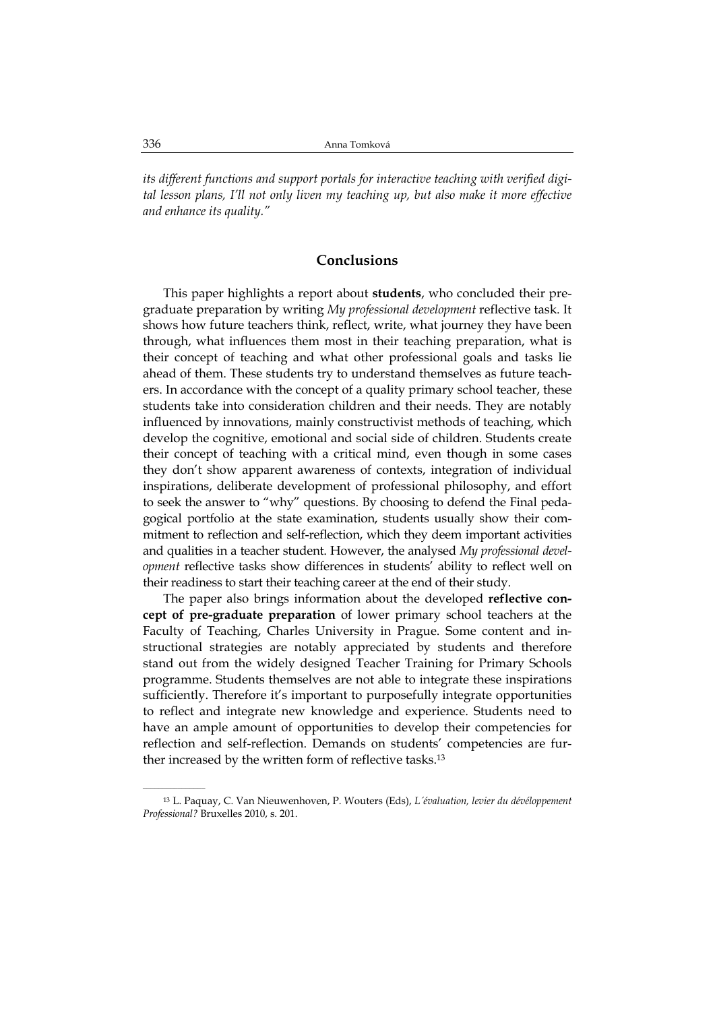*its different functions and support portals for interactive teaching with verified digital lesson plans, I'll not only liven my teaching up, but also make it more effective and enhance its quality."* 

## **Conclusions**

This paper highlights a report about **students**, who concluded their pregraduate preparation by writing *My professional development* reflective task. It shows how future teachers think, reflect, write, what journey they have been through, what influences them most in their teaching preparation, what is their concept of teaching and what other professional goals and tasks lie ahead of them. These students try to understand themselves as future teachers. In accordance with the concept of a quality primary school teacher, these students take into consideration children and their needs. They are notably influenced by innovations, mainly constructivist methods of teaching, which develop the cognitive, emotional and social side of children. Students create their concept of teaching with a critical mind, even though in some cases they don't show apparent awareness of contexts, integration of individual inspirations, deliberate development of professional philosophy, and effort to seek the answer to "why" questions. By choosing to defend the Final pedagogical portfolio at the state examination, students usually show their commitment to reflection and self-reflection, which they deem important activities and qualities in a teacher student. However, the analysed *My professional development* reflective tasks show differences in students' ability to reflect well on their readiness to start their teaching career at the end of their study.

The paper also brings information about the developed **reflective concept of pre-graduate preparation** of lower primary school teachers at the Faculty of Teaching, Charles University in Prague. Some content and instructional strategies are notably appreciated by students and therefore stand out from the widely designed Teacher Training for Primary Schools programme. Students themselves are not able to integrate these inspirations sufficiently. Therefore it's important to purposefully integrate opportunities to reflect and integrate new knowledge and experience. Students need to have an ample amount of opportunities to develop their competencies for reflection and self-reflection. Demands on students' competencies are further increased by the written form of reflective tasks.13

<sup>13</sup> L. Paquay, C. Van Nieuwenhoven, P. Wouters (Eds), *L´évaluation, levier du dévéloppement Professional?* Bruxelles 2010, s. 201.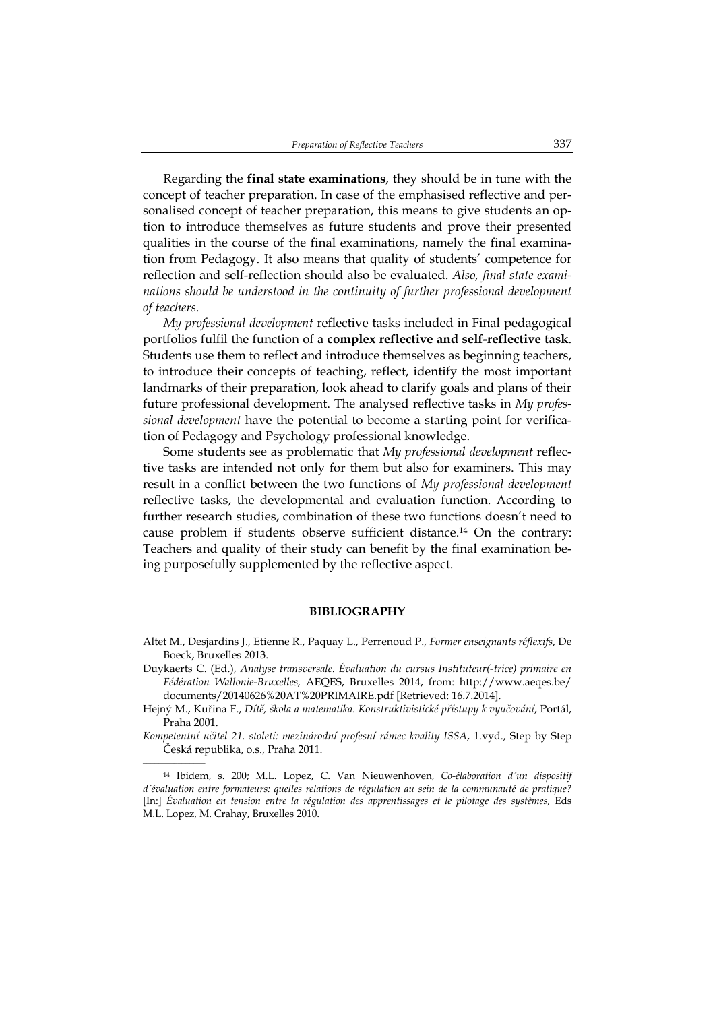Regarding the **final state examinations**, they should be in tune with the concept of teacher preparation. In case of the emphasised reflective and personalised concept of teacher preparation, this means to give students an option to introduce themselves as future students and prove their presented qualities in the course of the final examinations, namely the final examination from Pedagogy. It also means that quality of students' competence for reflection and self-reflection should also be evaluated. *Also, final state examinations should be understood in the continuity of further professional development of teachers*.

*My professional development* reflective tasks included in Final pedagogical portfolios fulfil the function of a **complex reflective and self-reflective task**. Students use them to reflect and introduce themselves as beginning teachers, to introduce their concepts of teaching, reflect, identify the most important landmarks of their preparation, look ahead to clarify goals and plans of their future professional development. The analysed reflective tasks in *My professional development* have the potential to become a starting point for verification of Pedagogy and Psychology professional knowledge.

Some students see as problematic that *My professional development* reflective tasks are intended not only for them but also for examiners. This may result in a conflict between the two functions of *My professional development* reflective tasks, the developmental and evaluation function. According to further research studies, combination of these two functions doesn't need to cause problem if students observe sufficient distance.14 On the contrary: Teachers and quality of their study can benefit by the final examination being purposefully supplemented by the reflective aspect.

#### **BIBLIOGRAPHY**

- Altet M., Desjardins J., Etienne R., Paquay L., Perrenoud P., *Former enseignants réflexifs*, De Boeck, Bruxelles 2013.
- Duykaerts C. (Ed.), *Analyse transversale. Évaluation du cursus Instituteur(-trice) primaire en Fédération Wallonie-Bruxelles,* AEQES, Bruxelles 2014, from: http://www.aeqes.be/ documents/20140626%20AT%20PRIMAIRE.pdf [Retrieved: 16.7.2014].
- Hejný M., Kuřina F., *Dítě, škola a matematika. Konstruktivistické přístupy k vyučování*, Portál, Praha 2001.
- *Kompetentní učitel 21. století: mezinárodní profesní rámec kvality ISSA*, 1.vyd., Step by Step Česká republika, o.s., Praha 2011.

<sup>14</sup> Ibidem, s. 200; M.L. Lopez, C. Van Nieuwenhoven, *Co-élaboration d´un dispositif d´évaluation entre formateurs: quelles relations de régulation au sein de la communauté de pratique?* [In:] *Évaluation en tension entre la régulation des apprentissages et le pilotage des systèmes*, Eds M.L. Lopez, M. Crahay, Bruxelles 2010.